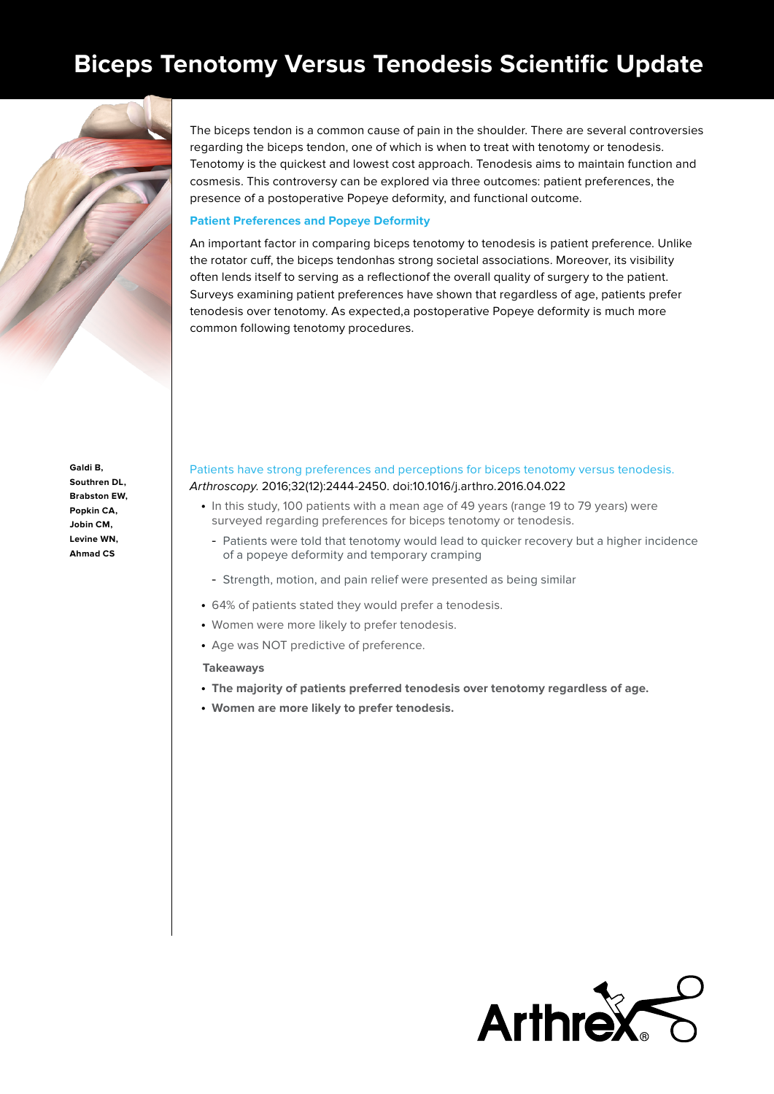# **Biceps Tenotomy Versus Tenodesis Scientific Update**



The biceps tendon is a common cause of pain in the shoulder. There are several controversies regarding the biceps tendon, one of which is when to treat with tenotomy or tenodesis. Tenotomy is the quickest and lowest cost approach. Tenodesis aims to maintain function and cosmesis. This controversy can be explored via three outcomes: patient preferences, the presence of a postoperative Popeye deformity, and functional outcome.

# **Patient Preferences and Popeye Deformity**

An important factor in comparing biceps tenotomy to tenodesis is patient preference. Unlike the rotator cuff, the biceps tendonhas strong societal associations. Moreover, its visibility often lends itself to serving as a reflectionof the overall quality of surgery to the patient. Surveys examining patient preferences have shown that regardless of age, patients prefer tenodesis over tenotomy. As expected,a postoperative Popeye deformity is much more common following tenotomy procedures.

**Galdi B, Southren DL, Brabston EW, Popkin CA, Jobin CM, Levine WN, Ahmad CS**

# [Patients have strong preferences and perceptions for biceps tenotomy versus tenodesis.](https://pubmed.ncbi.nlm.nih.gov/27318778/) Arthroscopy. 2016;32(12):2444-2450. doi:10.1016/j.arthro.2016.04.022

- In this study, 100 patients with a mean age of 49 years (range 19 to 79 years) were surveyed regarding preferences for biceps tenotomy or tenodesis.
	- Patients were told that tenotomy would lead to quicker recovery but a higher incidence of a popeye deformity and temporary cramping
	- Strength, motion, and pain relief were presented as being similar
- 64% of patients stated they would prefer a tenodesis.
- Women were more likely to prefer tenodesis.
- Age was NOT predictive of preference.

#### **Takeaways**

- **The majority of patients preferred tenodesis over tenotomy regardless of age.**
- **Women are more likely to prefer tenodesis.**

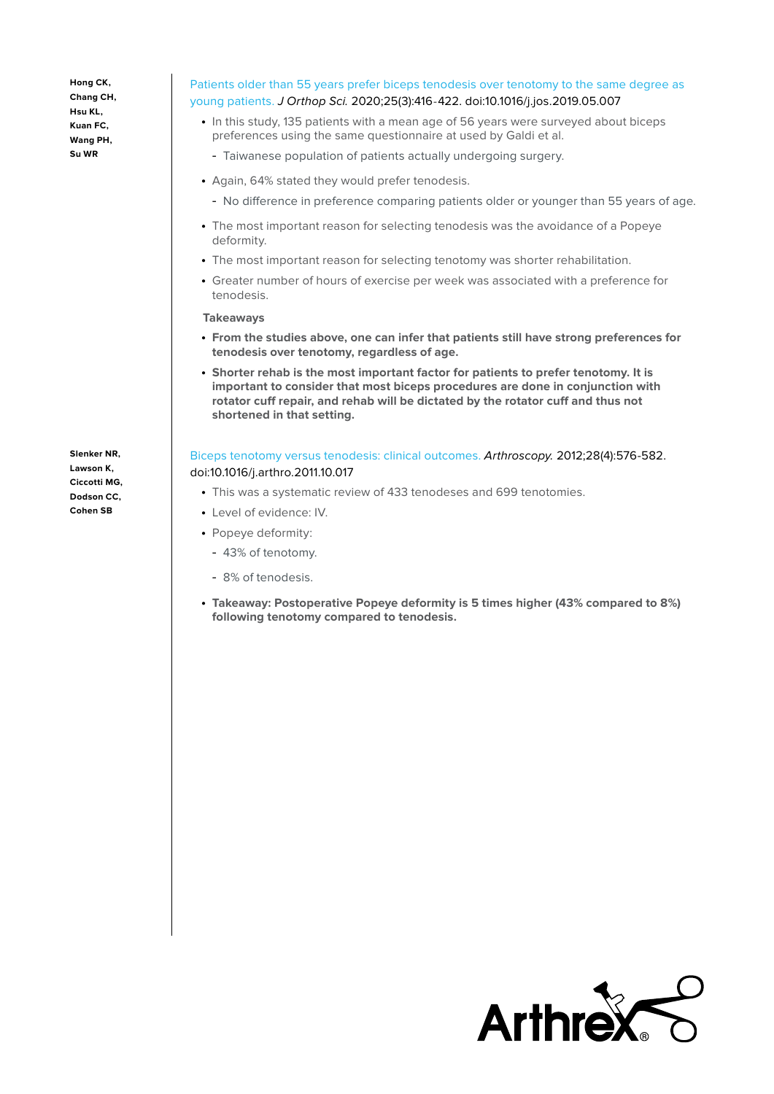**Hong CK, Chang CH, Hsu KL, Kuan FC, Wang PH, Su WR**

# [Patients older than 55 years prefer biceps tenodesis over tenotomy to the same degree as](https://pubmed.ncbi.nlm.nih.gov/31160159/)  [young patients.](https://pubmed.ncbi.nlm.nih.gov/31160159/) J Orthop Sci. 2020;25(3):416‐422. doi:10.1016/j.jos.2019.05.007

- In this study, 135 patients with a mean age of 56 years were surveyed about biceps preferences using the same questionnaire at used by Galdi et al.
- Taiwanese population of patients actually undergoing surgery.
- Again, 64% stated they would prefer tenodesis.
	- No difference in preference comparing patients older or younger than 55 years of age.
- The most important reason for selecting tenodesis was the avoidance of a Popeye deformity.
- The most important reason for selecting tenotomy was shorter rehabilitation.
- Greater number of hours of exercise per week was associated with a preference for tenodesis.

#### **Takeaways**

- **From the studies above, one can infer that patients still have strong preferences for tenodesis over tenotomy, regardless of age.**
- **Shorter rehab is the most important factor for patients to prefer tenotomy. It is important to consider that most biceps procedures are done in conjunction with rotator cuff repair, and rehab will be dictated by the rotator cuff and thus not shortened in that setting.**

[Biceps tenotomy versus tenodesis: clinical outcomes](https://pubmed.ncbi.nlm.nih.gov/22284407/). Arthroscopy. 2012;28(4):576-582. doi:10.1016/j.arthro.2011.10.017

- This was a systematic review of 433 tenodeses and 699 tenotomies.
- Level of evidence: IV.
- Popeye deformity:
- 43% of tenotomy.
- 8% of tenodesis.
- **Takeaway: Postoperative Popeye deformity is 5 times higher (43% compared to 8%) following tenotomy compared to tenodesis.**

**Lawson K, Ciccotti MG, Dodson CC, Cohen SB** 

**Slenker NR,** 

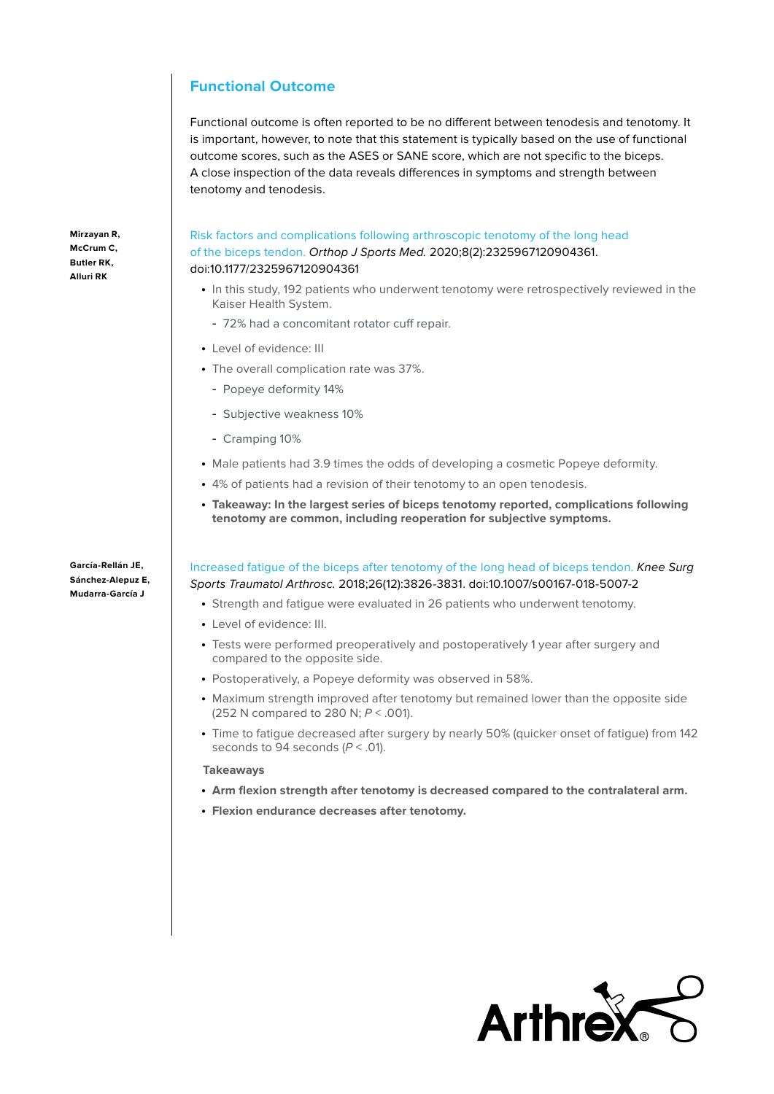# **Functional Outcome**

Functional outcome is often reported to be no different between tenodesis and tenotomy. It is important, however, to note that this statement is typically based on the use of functional outcome scores, such as the ASES or SANE score, which are not specific to the biceps. A close inspection of the data reveals differences in symptoms and strength between tenotomy and tenodesis.

[Risk factors and complications following arthroscopic tenotomy of the long head](https://pubmed.ncbi.nlm.nih.gov/32166093/)  [of the biceps tendon](https://pubmed.ncbi.nlm.nih.gov/32166093/). Orthop J Sports Med. 2020;8(2):2325967120904361. doi:10.1177/2325967120904361

- In this study, 192 patients who underwent tenotomy were retrospectively reviewed in the Kaiser Health System.
- 72% had a concomitant rotator cuff repair.
- Level of evidence: III
- The overall complication rate was 37%.
	- Popeye deformity 14%
	- Subjective weakness 10%
	- Cramping 10%
- Male patients had 3.9 times the odds of developing a cosmetic Popeye deformity.
- 4% of patients had a revision of their tenotomy to an open tenodesis.
- **Takeaway: In the largest series of biceps tenotomy reported, complications following tenotomy are common, including reoperation for subjective symptoms.**

**García-Rellán JE, Sánchez-Alepuz E, Mudarra-García J**

[Increased fatigue of the biceps after tenotomy of the long head of biceps tendon](https://pubmed.ncbi.nlm.nih.gov/29947844/). Knee Surg Sports Traumatol Arthrosc. 2018;26(12):3826-3831. doi:10.1007/s00167-018-5007-2

- Strength and fatigue were evaluated in 26 patients who underwent tenotomy.
- Level of evidence: III.
- Tests were performed preoperatively and postoperatively 1 year after surgery and compared to the opposite side.
- Postoperatively, a Popeye deformity was observed in 58%.
- Maximum strength improved after tenotomy but remained lower than the opposite side (252 N compared to 280 N;  $P < .001$ ).
- Time to fatigue decreased after surgery by nearly 50% (quicker onset of fatigue) from 142 seconds to 94 seconds  $(P < .01)$ .

#### **Takeaways**

- **Arm flexion strength after tenotomy is decreased compared to the contralateral arm.**
- **Flexion endurance decreases after tenotomy.**



**Mirzayan R, McCrum C, Butler RK, Alluri RK**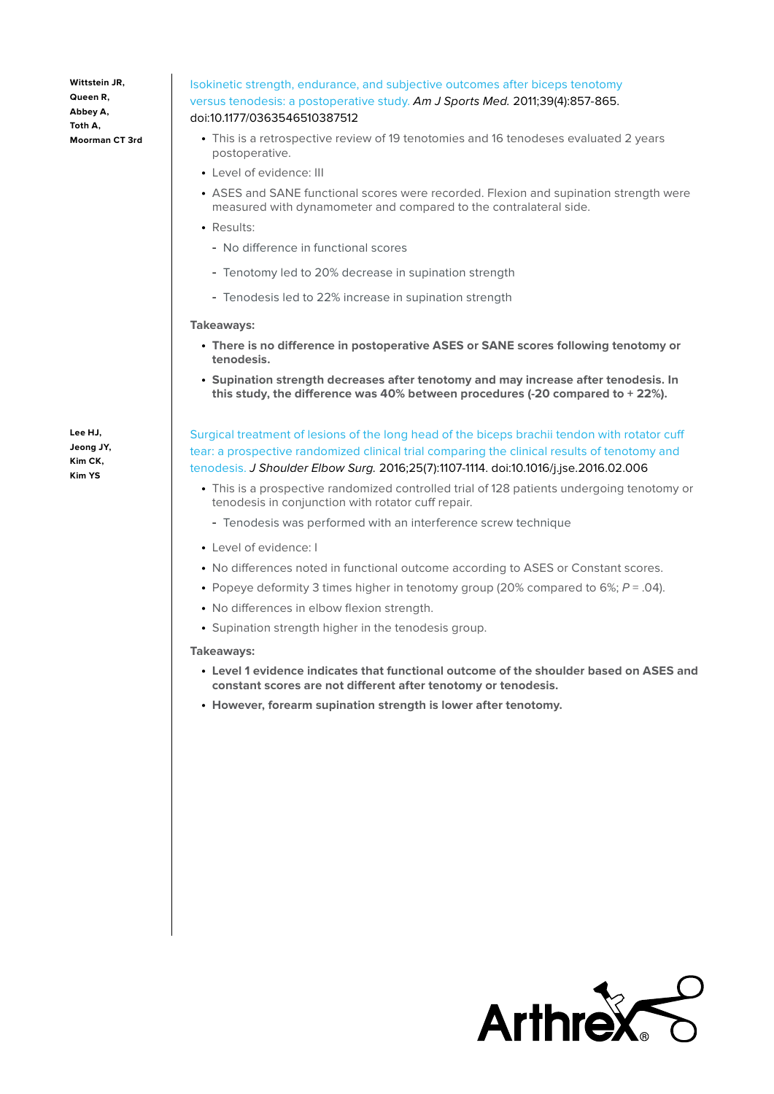**Wittstein JR, Queen R, Abbey A, Toth A, Moorman CT 3rd**

# [Isokinetic strength, endurance, and subjective outcomes after biceps tenotomy](https://pubmed.ncbi.nlm.nih.gov/21189355/)  [versus tenodesis: a postoperative study](https://pubmed.ncbi.nlm.nih.gov/21189355/). Am J Sports Med. 2011;39(4):857-865. doi:10.1177/0363546510387512

- This is a retrospective review of 19 tenotomies and 16 tenodeses evaluated 2 years postoperative.
- Level of evidence: III
- ASES and SANE functional scores were recorded. Flexion and supination strength were measured with dynamometer and compared to the contralateral side.
- Results:
	- No difference in functional scores
	- Tenotomy led to 20% decrease in supination strength
	- Tenodesis led to 22% increase in supination strength

#### **Takeaways:**

- **There is no difference in postoperative ASES or SANE scores following tenotomy or tenodesis.**
- **Supination strength decreases after tenotomy and may increase after tenodesis. In this study, the difference was 40% between procedures (-20 compared to + 22%).**

**Lee HJ, Jeong JY, Kim CK, Kim YS**

- [Surgical treatment of lesions of the long head of the biceps brachii tendon with rotator cuff](https://pubmed.ncbi.nlm.nih.gov/27283370/)  [tear: a prospective randomized clinical trial comparing the clinical results of tenotomy and](https://pubmed.ncbi.nlm.nih.gov/27283370/)  [tenodesis.](https://pubmed.ncbi.nlm.nih.gov/27283370/) J Shoulder Elbow Surg. 2016;25(7):1107-1114. doi:10.1016/j.jse.2016.02.006
	- This is a prospective randomized controlled trial of 128 patients undergoing tenotomy or tenodesis in conjunction with rotator cuff repair.
	- Tenodesis was performed with an interference screw technique
	- Level of evidence: I
	- No differences noted in functional outcome according to ASES or Constant scores.
	- Popeye deformity 3 times higher in tenotomy group (20% compared to 6%;  $P = .04$ ).
	- No differences in elbow flexion strength.
	- Supination strength higher in the tenodesis group.

#### **Takeaways:**

- **Level 1 evidence indicates that functional outcome of the shoulder based on ASES and constant scores are not different after tenotomy or tenodesis.**
- **However, forearm supination strength is lower after tenotomy.**